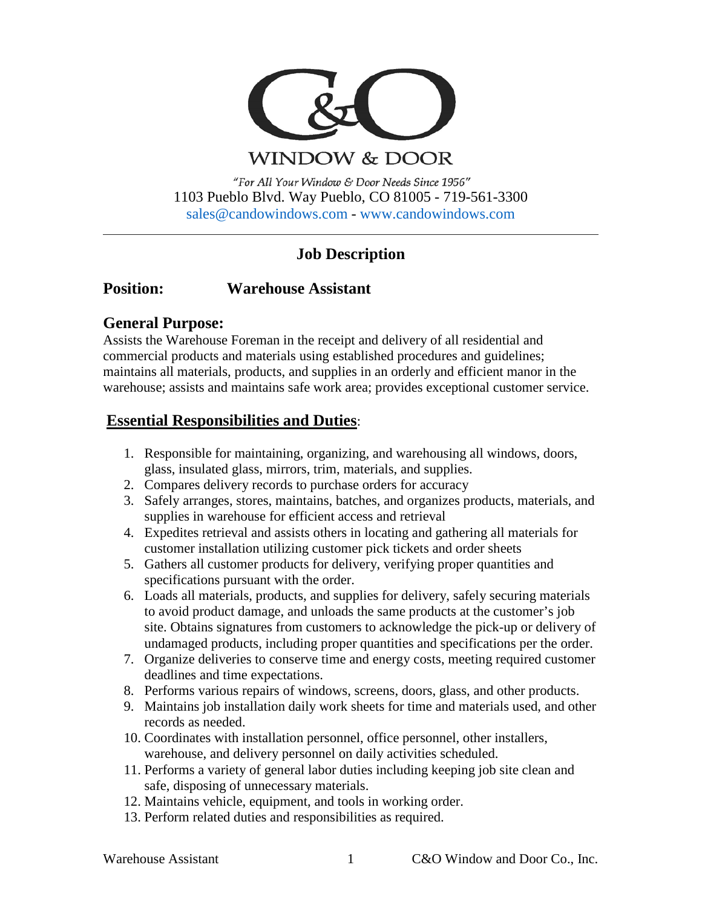

**WINDOW & DOOR** 

"For All Your Window & Door Needs Since 1956" 1103 Pueblo Blvd. Way Pueblo, CO 81005 - 719-561-3300 [sales@candowindows.com](mailto:sales@candowindows.com) - [www.candowindows.com](http://www.candowindows.com/)

# **Job Description**

# **Position: Warehouse Assistant**

### **General Purpose:**

Assists the Warehouse Foreman in the receipt and delivery of all residential and commercial products and materials using established procedures and guidelines; maintains all materials, products, and supplies in an orderly and efficient manor in the warehouse; assists and maintains safe work area; provides exceptional customer service.

# **Essential Responsibilities and Duties**:

- 1. Responsible for maintaining, organizing, and warehousing all windows, doors, glass, insulated glass, mirrors, trim, materials, and supplies.
- 2. Compares delivery records to purchase orders for accuracy
- 3. Safely arranges, stores, maintains, batches, and organizes products, materials, and supplies in warehouse for efficient access and retrieval
- 4. Expedites retrieval and assists others in locating and gathering all materials for customer installation utilizing customer pick tickets and order sheets
- 5. Gathers all customer products for delivery, verifying proper quantities and specifications pursuant with the order.
- 6. Loads all materials, products, and supplies for delivery, safely securing materials to avoid product damage, and unloads the same products at the customer's job site. Obtains signatures from customers to acknowledge the pick-up or delivery of undamaged products, including proper quantities and specifications per the order.
- 7. Organize deliveries to conserve time and energy costs, meeting required customer deadlines and time expectations.
- 8. Performs various repairs of windows, screens, doors, glass, and other products.
- 9. Maintains job installation daily work sheets for time and materials used, and other records as needed.
- 10. Coordinates with installation personnel, office personnel, other installers, warehouse, and delivery personnel on daily activities scheduled.
- 11. Performs a variety of general labor duties including keeping job site clean and safe, disposing of unnecessary materials.
- 12. Maintains vehicle, equipment, and tools in working order.
- 13. Perform related duties and responsibilities as required.